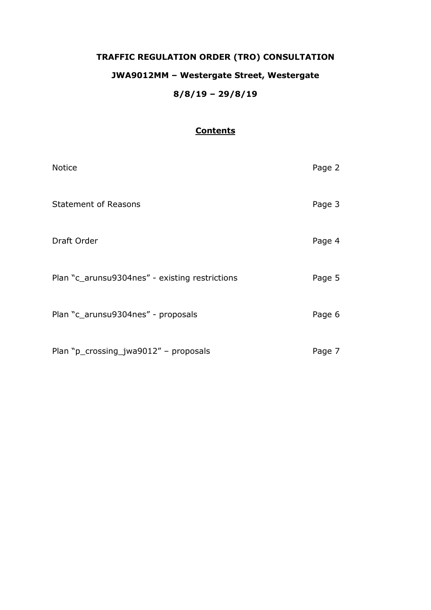# **TRAFFIC REGULATION ORDER (TRO) CONSULTATION JWA9012MM – Westergate Street, Westergate 8/8/19 – 29/8/19**

# **Contents**

| <b>Notice</b>                                  | Page 2 |
|------------------------------------------------|--------|
| <b>Statement of Reasons</b>                    | Page 3 |
| Draft Order                                    | Page 4 |
| Plan "c_arunsu9304nes" - existing restrictions | Page 5 |
| Plan "c_arunsu9304nes" - proposals             | Page 6 |
| Plan "p_crossing_jwa9012" - proposals          | Page 7 |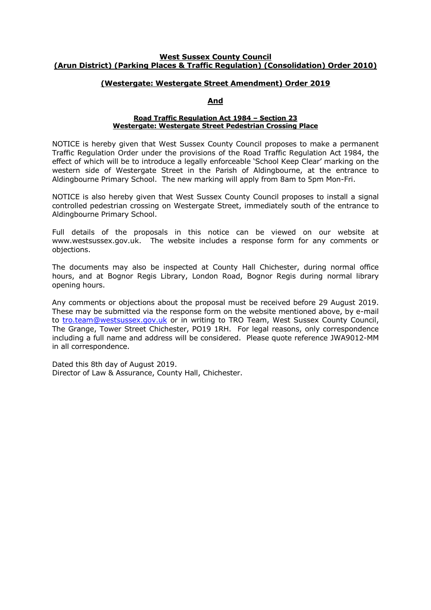#### **West Sussex County Council (Arun District) (Parking Places & Traffic Regulation) (Consolidation) Order 2010)**

## **(Westergate: Westergate Street Amendment) Order 2019**

#### **And**

#### **Road Traffic Regulation Act 1984 – Section 23 Westergate: Westergate Street Pedestrian Crossing Place**

NOTICE is hereby given that West Sussex County Council proposes to make a permanent Traffic Regulation Order under the provisions of the Road Traffic Regulation Act 1984, the effect of which will be to introduce a legally enforceable 'School Keep Clear' marking on the western side of Westergate Street in the Parish of Aldingbourne, at the entrance to Aldingbourne Primary School. The new marking will apply from 8am to 5pm Mon-Fri.

NOTICE is also hereby given that West Sussex County Council proposes to install a signal controlled pedestrian crossing on Westergate Street, immediately south of the entrance to Aldingbourne Primary School.

Full details of the proposals in this notice can be viewed on our website at www.westsussex.gov.uk. The website includes a response form for any comments or objections.

The documents may also be inspected at County Hall Chichester, during normal office hours, and at Bognor Regis Library, London Road, Bognor Regis during normal library opening hours.

Any comments or objections about the proposal must be received before 29 August 2019. These may be submitted via the response form on the website mentioned above, by e-mail to [tro.team@westsussex.gov.uk](mailto:tro.team@westsussex.gov.uk) or in writing to TRO Team, West Sussex County Council, The Grange, Tower Street Chichester, PO19 1RH. For legal reasons, only correspondence including a full name and address will be considered. Please quote reference JWA9012-MM in all correspondence.

Dated this 8th day of August 2019. Director of Law & Assurance, County Hall, Chichester.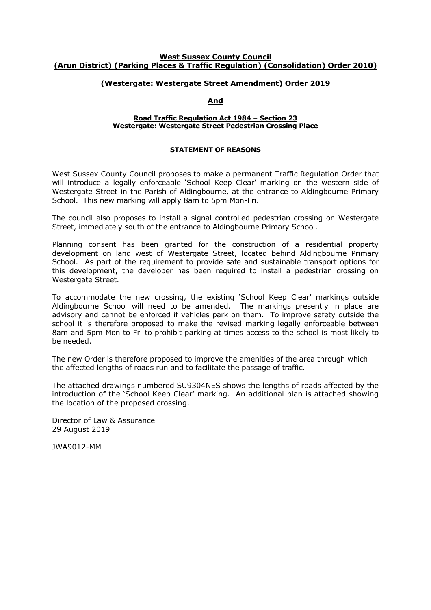#### **West Sussex County Council (Arun District) (Parking Places & Traffic Regulation) (Consolidation) Order 2010)**

## **(Westergate: Westergate Street Amendment) Order 2019**

## **And**

#### **Road Traffic Regulation Act 1984 – Section 23 Westergate: Westergate Street Pedestrian Crossing Place**

#### **STATEMENT OF REASONS**

West Sussex County Council proposes to make a permanent Traffic Regulation Order that will introduce a legally enforceable 'School Keep Clear' marking on the western side of Westergate Street in the Parish of Aldingbourne, at the entrance to Aldingbourne Primary School. This new marking will apply 8am to 5pm Mon-Fri.

The council also proposes to install a signal controlled pedestrian crossing on Westergate Street, immediately south of the entrance to Aldingbourne Primary School.

Planning consent has been granted for the construction of a residential property development on land west of Westergate Street, located behind Aldingbourne Primary School. As part of the requirement to provide safe and sustainable transport options for this development, the developer has been required to install a pedestrian crossing on Westergate Street.

To accommodate the new crossing, the existing 'School Keep Clear' markings outside Aldingbourne School will need to be amended. The markings presently in place are advisory and cannot be enforced if vehicles park on them. To improve safety outside the school it is therefore proposed to make the revised marking legally enforceable between 8am and 5pm Mon to Fri to prohibit parking at times access to the school is most likely to be needed.

The new Order is therefore proposed to improve the amenities of the area through which the affected lengths of roads run and to facilitate the passage of traffic.

The attached drawings numbered SU9304NES shows the lengths of roads affected by the introduction of the 'School Keep Clear' marking. An additional plan is attached showing the location of the proposed crossing.

Director of Law & Assurance 29 August 2019

JWA9012-MM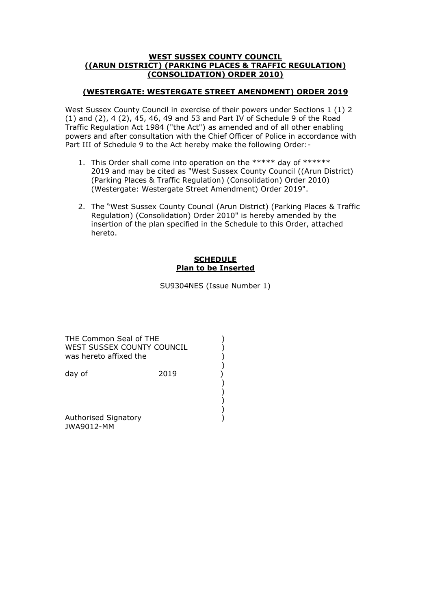## **WEST SUSSEX COUNTY COUNCIL ((ARUN DISTRICT) (PARKING PLACES & TRAFFIC REGULATION) (CONSOLIDATION) ORDER 2010)**

## **(WESTERGATE: WESTERGATE STREET AMENDMENT) ORDER 2019**

West Sussex County Council in exercise of their powers under Sections 1 (1) 2 (1) and (2), 4 (2), 45, 46, 49 and 53 and Part IV of Schedule 9 of the Road Traffic Regulation Act 1984 ("the Act") as amended and of all other enabling powers and after consultation with the Chief Officer of Police in accordance with Part III of Schedule 9 to the Act hereby make the following Order:-

- 1. This Order shall come into operation on the \*\*\*\*\* day of \*\*\*\*\*\* 2019 and may be cited as "West Sussex County Council ((Arun District) (Parking Places & Traffic Regulation) (Consolidation) Order 2010) (Westergate: Westergate Street Amendment) Order 2019".
- 2. The "West Sussex County Council (Arun District) (Parking Places & Traffic Regulation) (Consolidation) Order 2010" is hereby amended by the insertion of the plan specified in the Schedule to this Order, attached hereto.

## **SCHEDULE Plan to be Inserted**

SU9304NES (Issue Number 1)

THE Common Seal of THE (2002) WEST SUSSEX COUNTY COUNCIL  $\overrightarrow{)}$ was hereto affixed the ()<br>
day of (2019)<br>
()<br>
()<br>
()<br>
()<br>
()

 ) day of 2019

) and the contract of  $\mathcal{L}$ 

 ) ) and the contract of  $\mathcal{L}$ 

 ) Authorised Signatory (1999) JWA9012-MM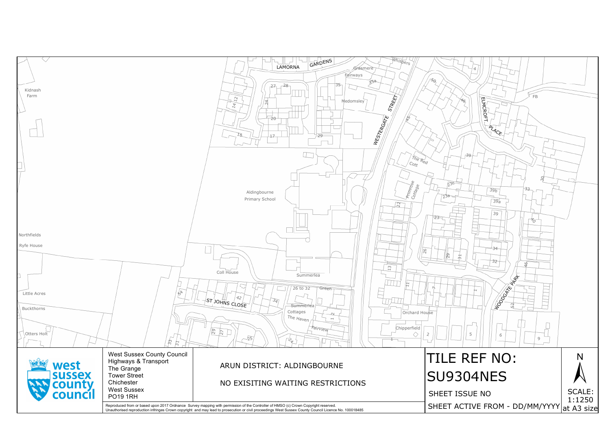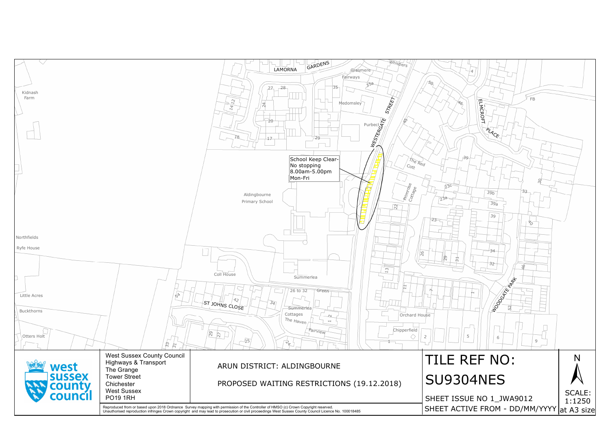